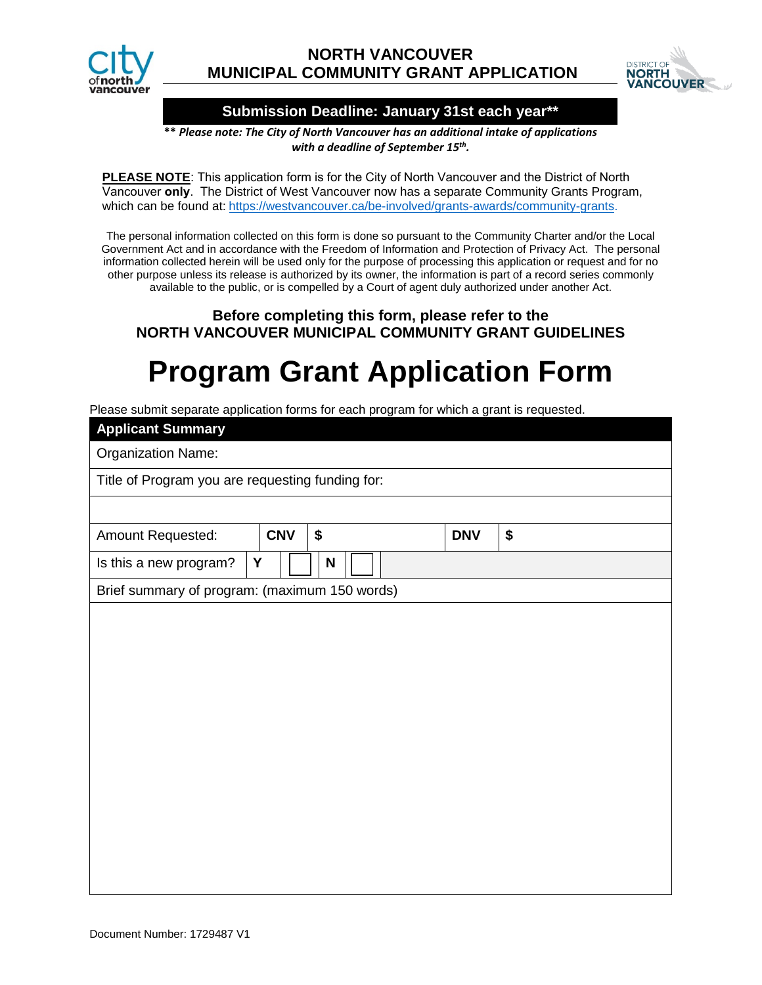



### **Submission Deadline: January 31st each year\*\***

**\*\*** *Please note: The City of North Vancouver has an additional intake of applications with a deadline of September 15th.* 

**PLEASE NOTE**: This application form is for the City of North Vancouver and the District of North Vancouver **only**. The District of [West Vancouver now has](https://westvancouver.ca/be-involved/grants-awards/community-grants) a separate Community Grants Program, [whic](https://westvancouver.ca/be-involved/grants-awards/community-grants)h can be found at: https://westvancouver.ca/be-involved/grants-awards/community-grants.

The personal information collected on this form is done so pursuant to the Community Charter and/or the Local Government Act and in accordance with the Freedom of Information and Protection of Privacy Act. The personal information collected herein will be used only for the purpose of processing this application or request and for no other purpose unless its release is authorized by its owner, the information is part of a record series commonly available to the public, or is compelled by a Court of agent duly authorized under another Act.

## **Before completing this form, please refer to the NORTH VANCOUVER MUNICIPAL COMMUNITY GRANT GUIDELINES**

# **Program Grant Application Form**

Please submit separate application forms for each program for which a grant is requested.

| <b>Applicant Summary</b>                         |            |    |            |    |
|--------------------------------------------------|------------|----|------------|----|
| <b>Organization Name:</b>                        |            |    |            |    |
| Title of Program you are requesting funding for: |            |    |            |    |
|                                                  |            |    |            |    |
| Amount Requested:                                | <b>CNV</b> | \$ | <b>DNV</b> | \$ |
| Y<br>Is this a new program?                      |            | N  |            |    |
| Brief summary of program: (maximum 150 words)    |            |    |            |    |
|                                                  |            |    |            |    |
|                                                  |            |    |            |    |
|                                                  |            |    |            |    |
|                                                  |            |    |            |    |
|                                                  |            |    |            |    |
|                                                  |            |    |            |    |
|                                                  |            |    |            |    |
|                                                  |            |    |            |    |
|                                                  |            |    |            |    |
|                                                  |            |    |            |    |
|                                                  |            |    |            |    |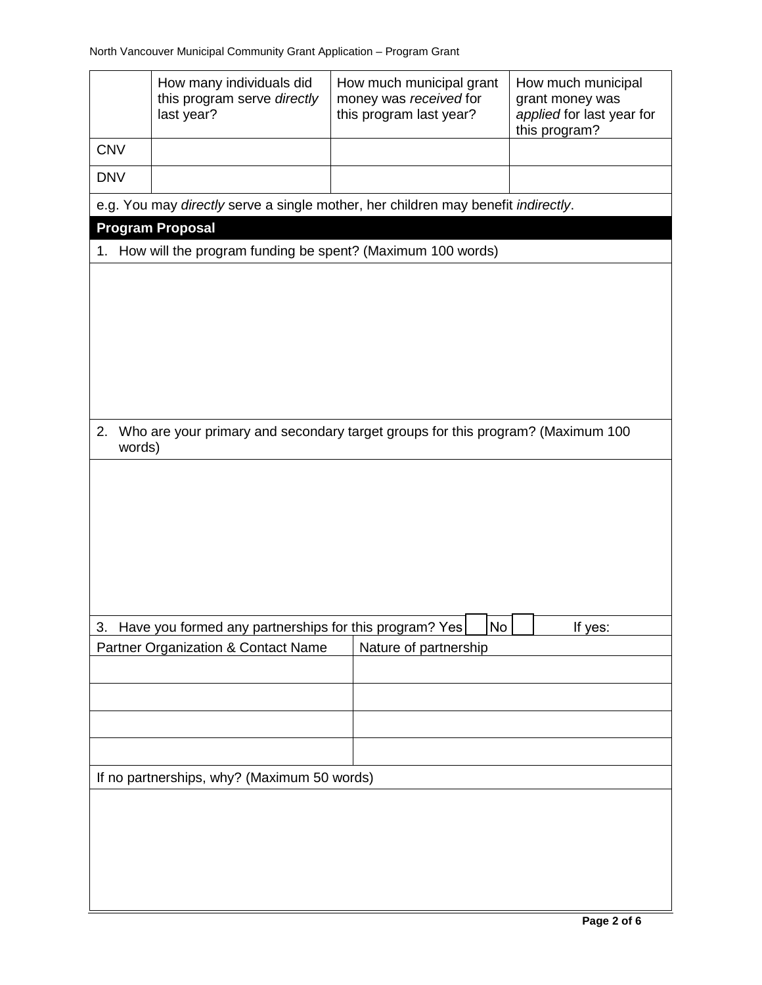|                                             | How many individuals did<br>this program serve directly<br>last year?             | How much municipal grant<br>money was received for<br>this program last year? | How much municipal<br>grant money was<br>applied for last year for<br>this program? |  |  |
|---------------------------------------------|-----------------------------------------------------------------------------------|-------------------------------------------------------------------------------|-------------------------------------------------------------------------------------|--|--|
| <b>CNV</b>                                  |                                                                                   |                                                                               |                                                                                     |  |  |
| <b>DNV</b>                                  |                                                                                   |                                                                               |                                                                                     |  |  |
|                                             | e.g. You may directly serve a single mother, her children may benefit indirectly. |                                                                               |                                                                                     |  |  |
|                                             | <b>Program Proposal</b>                                                           |                                                                               |                                                                                     |  |  |
| 1.                                          | How will the program funding be spent? (Maximum 100 words)                        |                                                                               |                                                                                     |  |  |
|                                             |                                                                                   |                                                                               |                                                                                     |  |  |
|                                             |                                                                                   |                                                                               |                                                                                     |  |  |
| 2.<br>words)                                | Who are your primary and secondary target groups for this program? (Maximum 100   |                                                                               |                                                                                     |  |  |
|                                             |                                                                                   |                                                                               |                                                                                     |  |  |
| 3.                                          | Have you formed any partnerships for this program? Yes                            | No                                                                            | If yes:                                                                             |  |  |
|                                             | <b>Partner Organization &amp; Contact Name</b>                                    | Nature of partnership                                                         |                                                                                     |  |  |
|                                             |                                                                                   |                                                                               |                                                                                     |  |  |
| If no partnerships, why? (Maximum 50 words) |                                                                                   |                                                                               |                                                                                     |  |  |
|                                             |                                                                                   |                                                                               |                                                                                     |  |  |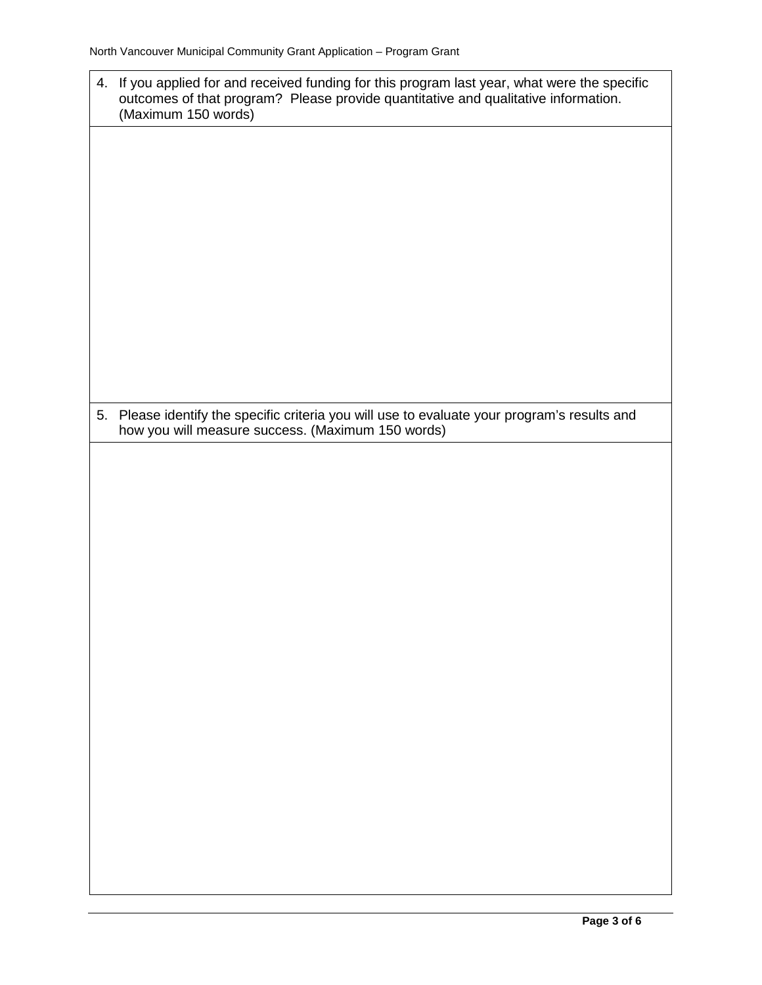| 4. | If you applied for and received funding for this program last year, what were the specific<br>outcomes of that program? Please provide quantitative and qualitative information.<br>(Maximum 150 words) |  |  |
|----|---------------------------------------------------------------------------------------------------------------------------------------------------------------------------------------------------------|--|--|
|    |                                                                                                                                                                                                         |  |  |
|    |                                                                                                                                                                                                         |  |  |
|    |                                                                                                                                                                                                         |  |  |
|    |                                                                                                                                                                                                         |  |  |
|    |                                                                                                                                                                                                         |  |  |
|    |                                                                                                                                                                                                         |  |  |
|    | 5. Please identify the specific criteria you will use to evaluate your program's results and<br>how you will measure success. (Maximum 150 words)                                                       |  |  |
|    |                                                                                                                                                                                                         |  |  |
|    |                                                                                                                                                                                                         |  |  |
|    |                                                                                                                                                                                                         |  |  |
|    |                                                                                                                                                                                                         |  |  |
|    |                                                                                                                                                                                                         |  |  |
|    |                                                                                                                                                                                                         |  |  |
|    |                                                                                                                                                                                                         |  |  |
|    |                                                                                                                                                                                                         |  |  |
|    |                                                                                                                                                                                                         |  |  |
|    |                                                                                                                                                                                                         |  |  |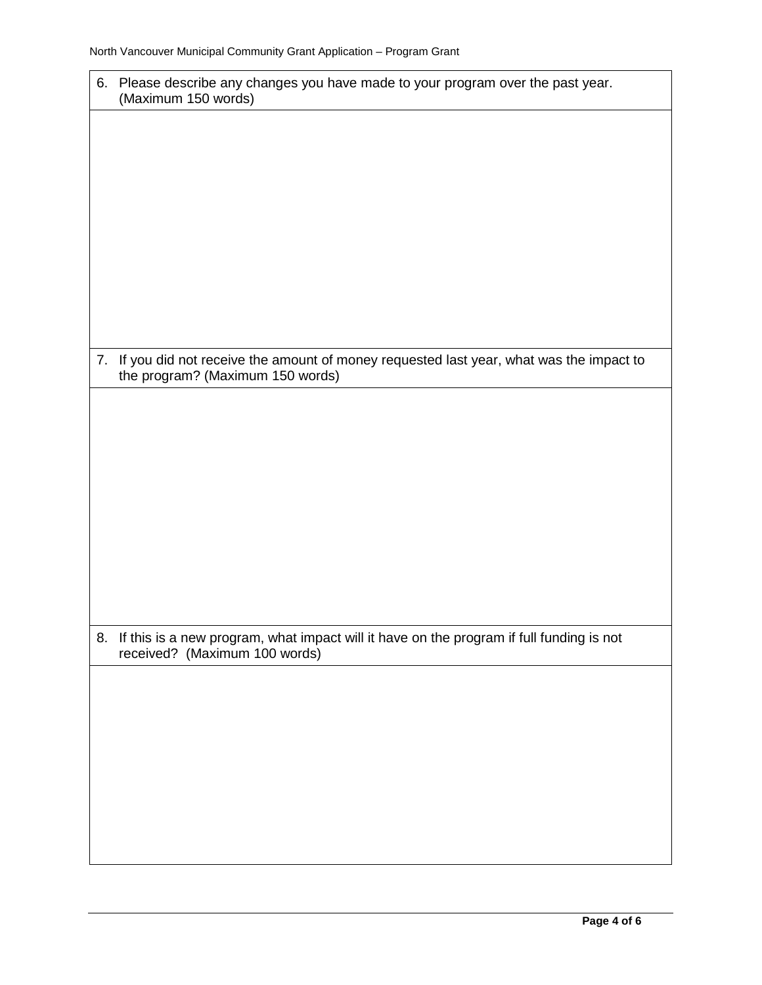'n

| 6. Please describe any changes you have made to your program over the past year.<br>(Maximum 150 words)                       |  |  |
|-------------------------------------------------------------------------------------------------------------------------------|--|--|
|                                                                                                                               |  |  |
|                                                                                                                               |  |  |
|                                                                                                                               |  |  |
|                                                                                                                               |  |  |
|                                                                                                                               |  |  |
|                                                                                                                               |  |  |
|                                                                                                                               |  |  |
|                                                                                                                               |  |  |
| 7. If you did not receive the amount of money requested last year, what was the impact to<br>the program? (Maximum 150 words) |  |  |
|                                                                                                                               |  |  |
|                                                                                                                               |  |  |
|                                                                                                                               |  |  |
|                                                                                                                               |  |  |
|                                                                                                                               |  |  |
|                                                                                                                               |  |  |
|                                                                                                                               |  |  |
|                                                                                                                               |  |  |
|                                                                                                                               |  |  |
| 8. If this is a new program, what impact will it have on the program if full funding is not<br>received? (Maximum 100 words)  |  |  |
|                                                                                                                               |  |  |
|                                                                                                                               |  |  |
|                                                                                                                               |  |  |
|                                                                                                                               |  |  |
|                                                                                                                               |  |  |
|                                                                                                                               |  |  |
|                                                                                                                               |  |  |
|                                                                                                                               |  |  |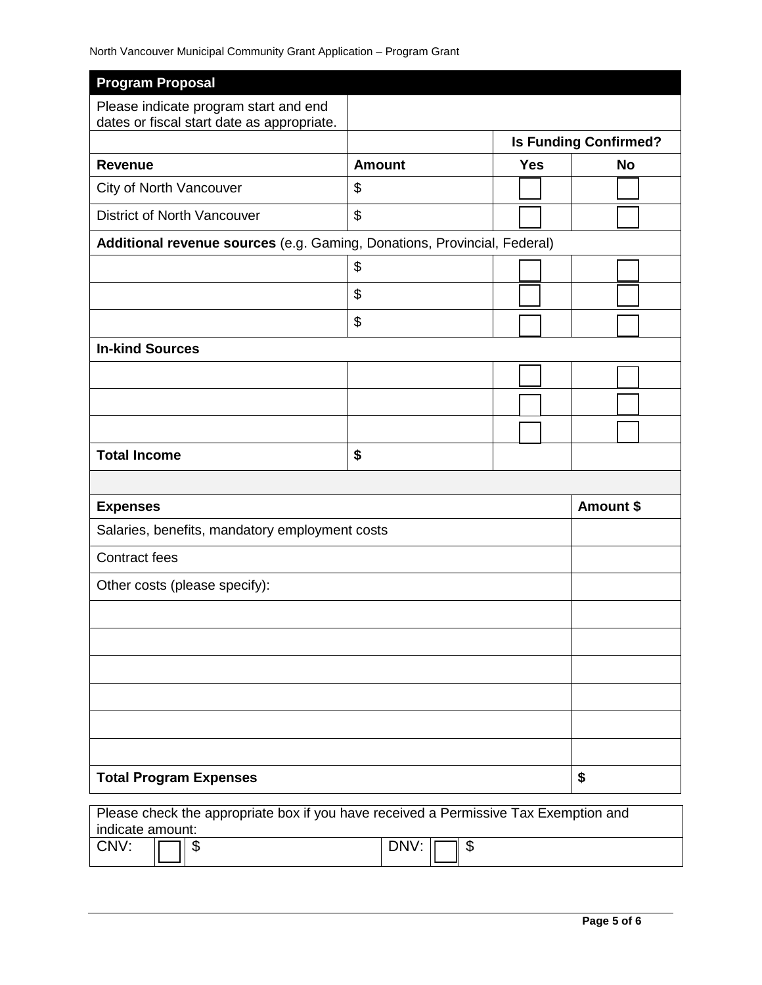| <b>Program Proposal</b>                                                              |               |            |                              |
|--------------------------------------------------------------------------------------|---------------|------------|------------------------------|
| Please indicate program start and end                                                |               |            |                              |
| dates or fiscal start date as appropriate.                                           |               |            | <b>Is Funding Confirmed?</b> |
| <b>Revenue</b>                                                                       | <b>Amount</b> | <b>Yes</b> | <b>No</b>                    |
| City of North Vancouver                                                              | \$            |            |                              |
|                                                                                      |               |            |                              |
| <b>District of North Vancouver</b>                                                   | \$            |            |                              |
| Additional revenue sources (e.g. Gaming, Donations, Provincial, Federal)             |               |            |                              |
|                                                                                      | \$            |            |                              |
|                                                                                      | \$            |            |                              |
|                                                                                      | \$            |            |                              |
| <b>In-kind Sources</b>                                                               |               |            |                              |
|                                                                                      |               |            |                              |
|                                                                                      |               |            |                              |
|                                                                                      |               |            |                              |
| <b>Total Income</b>                                                                  | \$            |            |                              |
|                                                                                      |               |            |                              |
| <b>Expenses</b>                                                                      |               | Amount \$  |                              |
| Salaries, benefits, mandatory employment costs                                       |               |            |                              |
| <b>Contract fees</b>                                                                 |               |            |                              |
| Other costs (please specify):                                                        |               |            |                              |
|                                                                                      |               |            |                              |
|                                                                                      |               |            |                              |
|                                                                                      |               |            |                              |
|                                                                                      |               |            |                              |
|                                                                                      |               |            |                              |
|                                                                                      |               |            |                              |
| <b>Total Program Expenses</b>                                                        |               |            | \$                           |
|                                                                                      |               |            |                              |
| Please check the appropriate box if you have received a Permissive Tax Exemption and |               |            |                              |

| . .<br>indicate amount: |                  |          |                        |
|-------------------------|------------------|----------|------------------------|
| CNV:                    | $\sqrt{2}$<br>лD | $\cdots$ | $\sqrt{2}$<br>II<br>۰D |